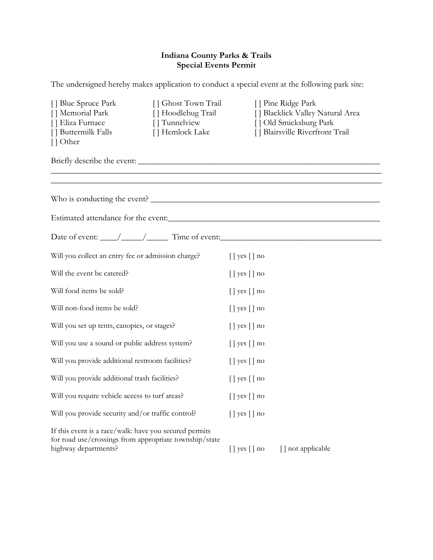# **Indiana County Parks & Trails Special Events Permit**

The undersigned hereby makes application to conduct a special event at the following park site:

| [] Blue Spruce Park<br>[] Ghost Town Trail<br>[] Memorial Park<br>[] Hoodlebug Trail<br>[] Eliza Furnace<br>[] Tunnelview<br>[] Buttermilk Falls<br>[] Hemlock Lake<br>[] Other | [] Pine Ridge Park<br>[] Blacklick Valley Natural Area<br>[] Old Smicksburg Park<br>[] Blairsville Riverfront Trail |
|---------------------------------------------------------------------------------------------------------------------------------------------------------------------------------|---------------------------------------------------------------------------------------------------------------------|
|                                                                                                                                                                                 |                                                                                                                     |
|                                                                                                                                                                                 |                                                                                                                     |
| Estimated attendance for the event:                                                                                                                                             |                                                                                                                     |
| Date of event: // // Time of event:                                                                                                                                             |                                                                                                                     |
| Will you collect an entry fee or admission charge?                                                                                                                              | $\lceil$   yes $\lceil$   no                                                                                        |
| Will the event be catered?                                                                                                                                                      | $[]$ yes $[]$ no                                                                                                    |
| Will food items be sold?                                                                                                                                                        | $[]$ yes $[]$ no                                                                                                    |
| Will non-food items be sold?                                                                                                                                                    | $\lceil$   yes $\lceil$   no                                                                                        |
| Will you set up tents, canopies, or stages?                                                                                                                                     | $\lceil$   yes $\lceil$   no                                                                                        |
| Will you use a sound or public address system?                                                                                                                                  | $\lceil$   yes $\lceil$   no                                                                                        |
| Will you provide additional restroom facilities?                                                                                                                                | $\lceil$   yes $\lceil$   no                                                                                        |
| Will you provide additional trash facilities?                                                                                                                                   | $\lceil$   yes $\lceil$   no                                                                                        |
| Will you require vehicle access to turf areas?                                                                                                                                  | $\lceil$   yes $\lceil$   no                                                                                        |
| Will you provide security and/or traffic control?                                                                                                                               | $\lceil$   yes $\lceil$   no                                                                                        |
| If this event is a race/walk: have you secured permits<br>for road use/crossings from appropriate township/state<br>highway departments?                                        | $\lceil$   yes $\lceil$   no<br>[] not applicable                                                                   |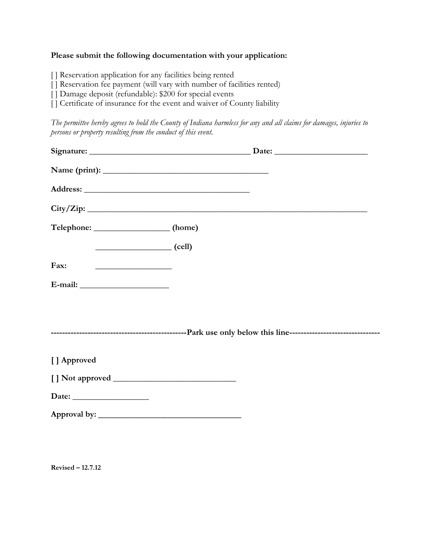#### **Please submit the following documentation with your application:**

[ ] Reservation application for any facilities being rented

[] Reservation fee payment (will vary with number of facilities rented)

[] Damage deposit (refundable): \$200 for special events

[] Certificate of insurance for the event and waiver of County liability

*The permittee hereby agrees to hold the County of Indiana harmless for any and all claims for damages, injuries to persons or property resulting from the conduct of this event.*

| Name (print):                                                                                                               |           |
|-----------------------------------------------------------------------------------------------------------------------------|-----------|
|                                                                                                                             |           |
|                                                                                                                             | City/Zip: |
| Telephone: ___________________(home)                                                                                        |           |
| $\begin{array}{c} \hline \end{array}$ (cell)                                                                                |           |
| Fax:<br><u> 1989 - Andrea Albert III, politik eta politik eta politik eta politik eta politik eta politik eta politik e</u> |           |
|                                                                                                                             |           |
|                                                                                                                             |           |
|                                                                                                                             |           |
|                                                                                                                             |           |
| [] Approved                                                                                                                 |           |
|                                                                                                                             |           |
| Date: $\qquad \qquad$                                                                                                       |           |
|                                                                                                                             |           |
|                                                                                                                             |           |

**Revised – 12.7.12**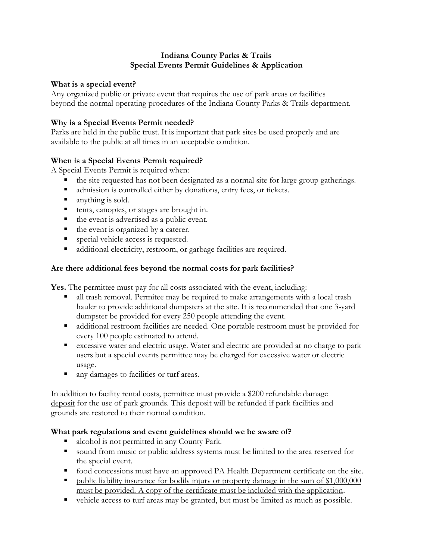### **Indiana County Parks & Trails Special Events Permit Guidelines & Application**

### **What is a special event?**

Any organized public or private event that requires the use of park areas or facilities beyond the normal operating procedures of the Indiana County Parks & Trails department.

## **Why is a Special Events Permit needed?**

Parks are held in the public trust. It is important that park sites be used properly and are available to the public at all times in an acceptable condition.

## **When is a Special Events Permit required?**

A Special Events Permit is required when:

- the site requested has not been designated as a normal site for large group gatherings.
- admission is controlled either by donations, entry fees, or tickets.
- anything is sold.
- tents, canopies, or stages are brought in.
- the event is advertised as a public event.
- the event is organized by a caterer.
- **special vehicle access is requested.**
- additional electricity, restroom, or garbage facilities are required.

# **Are there additional fees beyond the normal costs for park facilities?**

**Yes.** The permittee must pay for all costs associated with the event, including:

- all trash removal. Permitee may be required to make arrangements with a local trash hauler to provide additional dumpsters at the site. It is recommended that one 3-yard dumpster be provided for every 250 people attending the event.
- additional restroom facilities are needed. One portable restroom must be provided for every 100 people estimated to attend.
- excessive water and electric usage. Water and electric are provided at no charge to park users but a special events permittee may be charged for excessive water or electric usage.
- any damages to facilities or turf areas.

In addition to facility rental costs, permittee must provide a \$200 refundable damage deposit for the use of park grounds. This deposit will be refunded if park facilities and grounds are restored to their normal condition.

## **What park regulations and event guidelines should we be aware of?**

- alcohol is not permitted in any County Park.
- sound from music or public address systems must be limited to the area reserved for the special event.
- food concessions must have an approved PA Health Department certificate on the site.
- public liability insurance for bodily injury or property damage in the sum of \$1,000,000 must be provided. A copy of the certificate must be included with the application.
- vehicle access to turf areas may be granted, but must be limited as much as possible.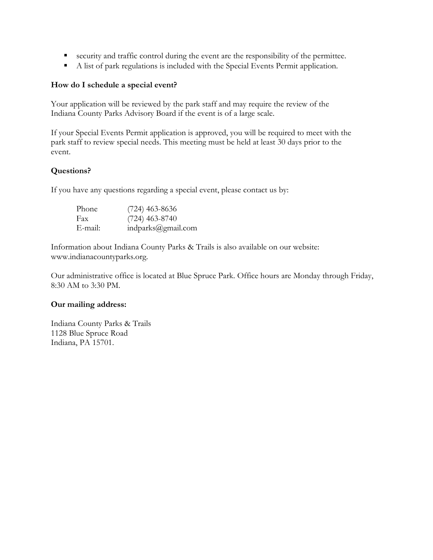- security and traffic control during the event are the responsibility of the permittee.
- A list of park regulations is included with the Special Events Permit application.

#### **How do I schedule a special event?**

Your application will be reviewed by the park staff and may require the review of the Indiana County Parks Advisory Board if the event is of a large scale.

If your Special Events Permit application is approved, you will be required to meet with the park staff to review special needs. This meeting must be held at least 30 days prior to the event.

### **Questions?**

If you have any questions regarding a special event, please contact us by:

| Phone   | $(724)$ 463-8636   |
|---------|--------------------|
| Fax     | $(724)$ 463-8740   |
| E-mail: | indparks@gmail.com |

Information about Indiana County Parks & Trails is also available on our website: www.indianacountyparks.org.

Our administrative office is located at Blue Spruce Park. Office hours are Monday through Friday, 8:30 AM to 3:30 PM.

#### **Our mailing address:**

Indiana County Parks & Trails 1128 Blue Spruce Road Indiana, PA 15701.